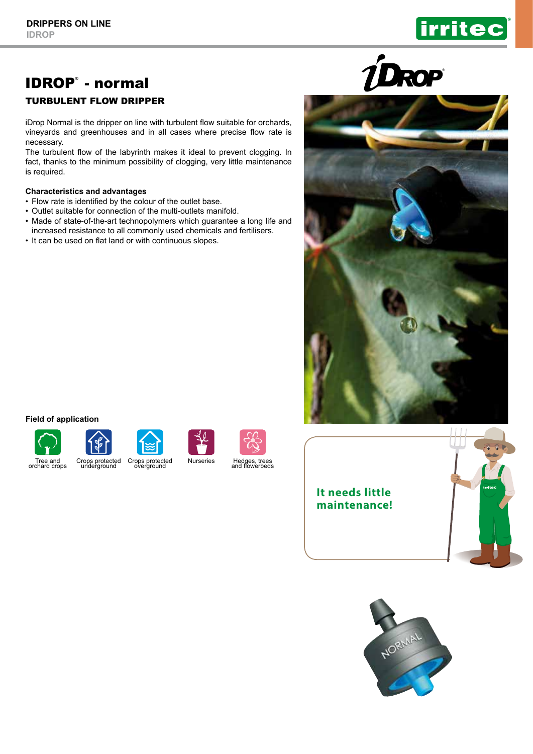# IDROP® - normal

## TURBULENT FLOW DRIPPER

iDrop Normal is the dripper on line with turbulent flow suitable for orchards, vineyards and greenhouses and in all cases where precise flow rate is necessary.

The turbulent flow of the labyrinth makes it ideal to prevent clogging. In fact, thanks to the minimum possibility of clogging, very little maintenance is required.

### **Characteristics and advantages**

- Flow rate is identified by the colour of the outlet base.
- Outlet suitable for connection of the multi-outlets manifold.
- Made of state-of-the-art technopolymers which guarantee a long life and increased resistance to all commonly used chemicals and fertilisers.
- It can be used on flat land or with continuous slopes.



#### **Field of application**

















®